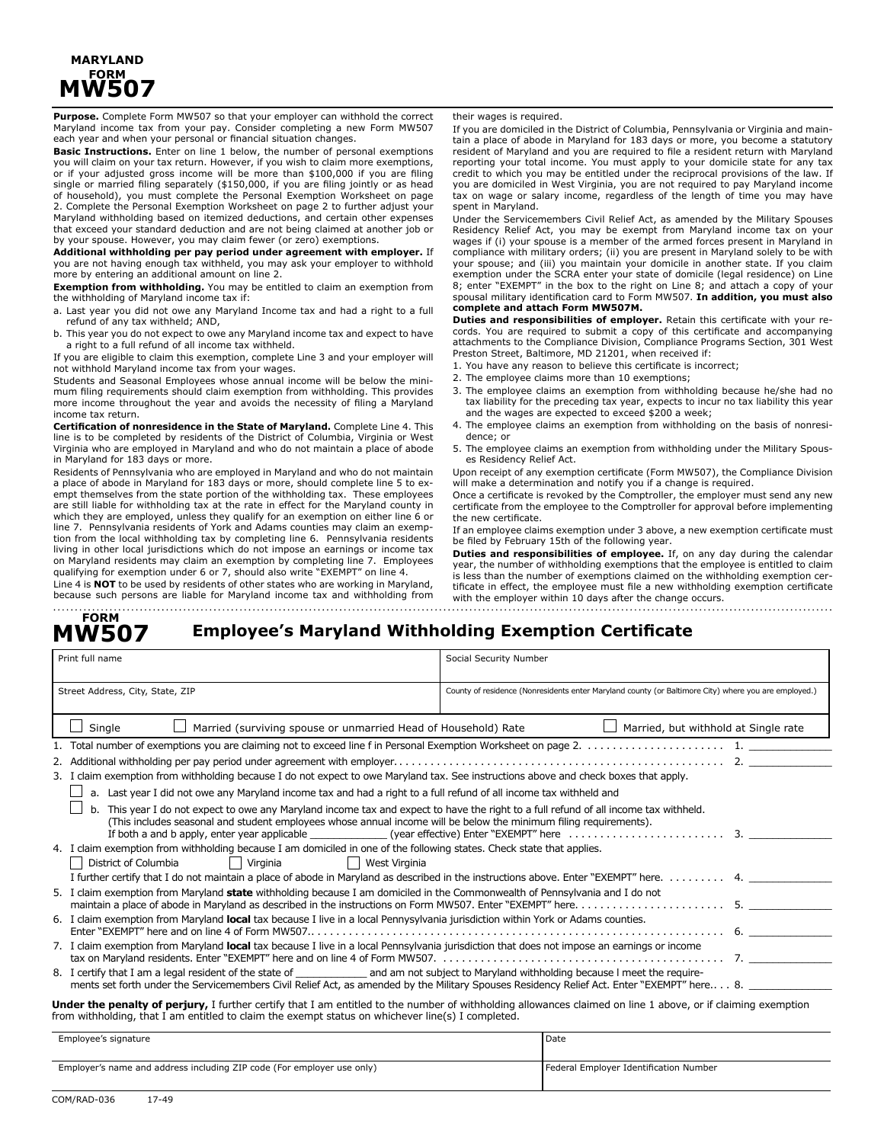## **MARYLAND FORM MW507**

**Purpose.** Complete Form MW507 so that your employer can withhold the correct Maryland income tax from your pay. Consider completing a new Form MW507 each year and when your personal or financial situation changes.

**Basic Instructions.** Enter on line 1 below, the number of personal exemptions you will claim on your tax return. However, if you wish to claim more exemptions, or if your adjusted gross income will be more than \$100,000 if you are filing single or married filing separately (\$150,000, if you are filing jointly or as head of household), you must complete the Personal Exemption Worksheet on page 2. Complete the Personal Exemption Worksheet on page 2 to further adjust your Maryland withholding based on itemized deductions, and certain other expenses that exceed your standard deduction and are not being claimed at another job or by your spouse. However, you may claim fewer (or zero) exemptions.

**Additional withholding per pay period under agreement with employer.** If you are not having enough tax withheld, you may ask your employer to withhold more by entering an additional amount on line 2.

**Exemption from withholding.** You may be entitled to claim an exemption from the withholding of Maryland income tax if:

a. Last year you did not owe any Maryland Income tax and had a right to a full refund of any tax withheld; AND,

b. This year you do not expect to owe any Maryland income tax and expect to have a right to a full refund of all income tax withheld.

If you are eligible to claim this exemption, complete Line 3 and your employer will not withhold Maryland income tax from your wages.

Students and Seasonal Employees whose annual income will be below the minimum filing requirements should claim exemption from withholding. This provides more income throughout the year and avoids the necessity of filing a Maryland income tax return.

**Certification of nonresidence in the State of Maryland.** Complete Line 4. This line is to be completed by residents of the District of Columbia, Virginia or West Virginia who are employed in Maryland and who do not maintain a place of abode in Maryland for 183 days or more.

Residents of Pennsylvania who are employed in Maryland and who do not maintain a place of abode in Maryland for 183 days or more, should complete line 5 to exempt themselves from the state portion of the withholding tax. These employees are still liable for withholding tax at the rate in effect for the Maryland county in which they are employed, unless they qualify for an exemption on either line 6 or line 7. Pennsylvania residents of York and Adams counties may claim an exemption from the local withholding tax by completing line 6. Pennsylvania residents living in other local jurisdictions which do not impose an earnings or income tax on Maryland residents may claim an exemption by completing line 7. Employees qualifying for exemption under 6 or 7, should also write "EXEMPT" on line 4. Line 4 is **NOT** to be used by residents of other states who are working in Maryland,

because such persons are liable for Maryland income tax and withholding from

their wages is required.

If you are domiciled in the District of Columbia, Pennsylvania or Virginia and maintain a place of abode in Maryland for 183 days or more, you become a statutory resident of Maryland and you are required to file a resident return with Maryland reporting your total income. You must apply to your domicile state for any tax credit to which you may be entitled under the reciprocal provisions of the law. If you are domiciled in West Virginia, you are not required to pay Maryland income tax on wage or salary income, regardless of the length of time you may have spent in Maryland.

Under the Servicemembers Civil Relief Act, as amended by the Military Spouses Residency Relief Act, you may be exempt from Maryland income tax on your wages if (i) your spouse is a member of the armed forces present in Maryland in compliance with military orders; (ii) you are present in Maryland solely to be with your spouse; and (iii) you maintain your domicile in another state. If you claim exemption under the SCRA enter your state of domicile (legal residence) on Line 8; enter "EXEMPT" in the box to the right on Line 8; and attach a copy of your spousal military identification card to Form MW507. **In addition, you must also complete and attach Form MW507M.**

**Duties and responsibilities of employer.** Retain this certificate with your records. You are required to submit a copy of this certificate and accompanying attachments to the Compliance Division, Compliance Programs Section, 301 West Preston Street, Baltimore, MD 21201, when received if:

- 1. You have any reason to believe this certificate is incorrect;
- 2. The employee claims more than 10 exemptions;
- 3. The employee claims an exemption from withholding because he/she had no tax liability for the preceding tax year, expects to incur no tax liability this year and the wages are expected to exceed \$200 a week;
- 4. The employee claims an exemption from withholding on the basis of nonresidence; or
- 5. The employee claims an exemption from withholding under the Military Spouses Residency Relief Act.

Upon receipt of any exemption certificate (Form MW507), the Compliance Division will make a determination and notify you if a change is required.

Once a certificate is revoked by the Comptroller, the employer must send any new certificate from the employee to the Comptroller for approval before implementing the new certificate.

If an employee claims exemption under 3 above, a new exemption certificate must be filed by February 15th of the following year.

**Duties and responsibilities of employee.** If, on any day during the calendar year, the number of withholding exemptions that the employee is entitled to claim is less than the number of exemptions claimed on the withholding exemption certificate in effect, the employee must file a new withholding exemption certificate with the employer within 10 days after the change occurs.

#### **Employee's Maryland Withholding Exemption Certificate FORM MW507**

| Print full name                                                                                                                                                                                                                                         | Social Security Number                                                                                                                     |  |  |  |  |
|---------------------------------------------------------------------------------------------------------------------------------------------------------------------------------------------------------------------------------------------------------|--------------------------------------------------------------------------------------------------------------------------------------------|--|--|--|--|
| Street Address, City, State, ZIP                                                                                                                                                                                                                        | County of residence (Nonresidents enter Maryland county (or Baltimore City) where you are employed.)                                       |  |  |  |  |
| Single<br>Married (surviving spouse or unmarried Head of Household) Rate<br>Married, but withhold at Single rate                                                                                                                                        |                                                                                                                                            |  |  |  |  |
|                                                                                                                                                                                                                                                         |                                                                                                                                            |  |  |  |  |
|                                                                                                                                                                                                                                                         |                                                                                                                                            |  |  |  |  |
| 3. I claim exemption from withholding because I do not expect to owe Maryland tax. See instructions above and check boxes that apply.                                                                                                                   |                                                                                                                                            |  |  |  |  |
| a. Last year I did not owe any Maryland income tax and had a right to a full refund of all income tax withheld and                                                                                                                                      |                                                                                                                                            |  |  |  |  |
| This year I do not expect to owe any Maryland income tax and expect to have the right to a full refund of all income tax withheld.<br>(This includes seasonal and student employees whose annual income will be below the minimum filing requirements). |                                                                                                                                            |  |  |  |  |
| 4. I claim exemption from withholding because I am domiciled in one of the following states. Check state that applies.                                                                                                                                  |                                                                                                                                            |  |  |  |  |
| $\Box$<br>Virginia<br>West Virginia<br>District of Columbia                                                                                                                                                                                             |                                                                                                                                            |  |  |  |  |
| I further certify that I do not maintain a place of abode in Maryland as described in the instructions above. Enter "EXEMPT" here. 4.                                                                                                                   |                                                                                                                                            |  |  |  |  |
| 5. I claim exemption from Maryland state withholding because I am domiciled in the Commonwealth of Pennsylvania and I do not                                                                                                                            |                                                                                                                                            |  |  |  |  |
| 6. I claim exemption from Maryland local tax because I live in a local Pennysylvania jurisdiction within York or Adams counties.                                                                                                                        |                                                                                                                                            |  |  |  |  |
| 7. I claim exemption from Maryland local tax because I live in a local Pennsylvania jurisdiction that does not impose an earnings or income                                                                                                             |                                                                                                                                            |  |  |  |  |
| 8. I certify that I am a legal resident of the state of _________________________ and am not subject to Maryland withholding because I meet the require-                                                                                                | ments set forth under the Servicemembers Civil Relief Act, as amended by the Military Spouses Residency Relief Act. Enter "EXEMPT" here 8. |  |  |  |  |
| <b>Under the penalty of perjury,</b> I further certify that I am entitled to the number of withholding allowances claimed on line 1 above, or if claiming exemption                                                                                     |                                                                                                                                            |  |  |  |  |

from withholding, that I am entitled to claim the exempt status on whichever line(s) I completed.

| Employee's signature                                                   | l Date                                 |  |
|------------------------------------------------------------------------|----------------------------------------|--|
|                                                                        |                                        |  |
| Employer's name and address including ZIP code (For employer use only) | Federal Employer Identification Number |  |
|                                                                        |                                        |  |